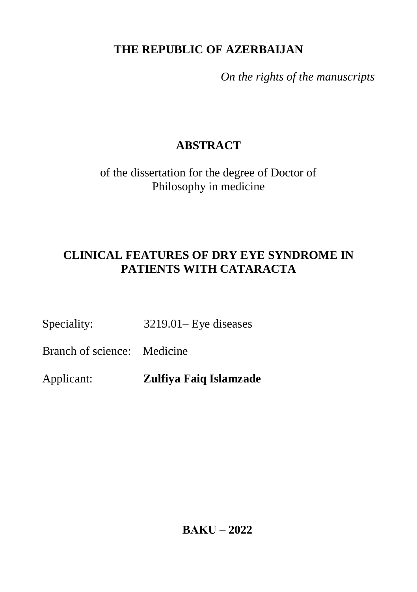### **THE REPUBLIC OF AZERBAIJAN**

*On the rights of the manuscripts*

## **ABSTRACT**

of the dissertation for the degree of Doctor of Philosophy in medicine

## **CLINICAL FEATURES OF DRY EYE SYNDROME IN PATIENTS WITH CATARACTA**

Speciality: 3219.01– Eye diseases

Branch of science: Medicine

Applicant: **Zulfiya Faiq Islamzade**

**BAKU – 2022**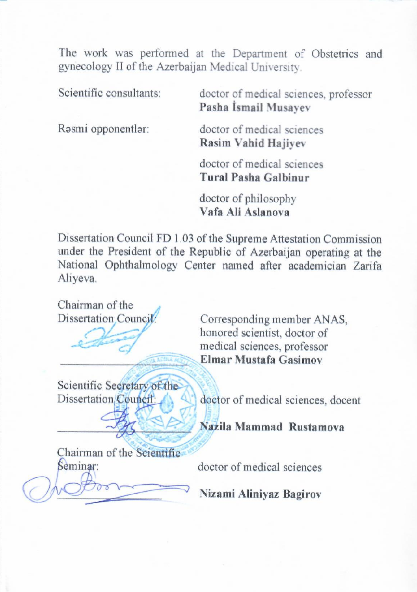The work was performed at the Department of Obstetrics and gynecology II of the Azerbaijan Medical University.

Scientific consultants: doctor of medical sciences, professor **Pasha İsmail Musayev**

Rəsmi opponentlər: doctor of medical sciences **Rasim Vahid Hajiyev** 

> doctor of medical sciences **Tural Pasha Galbinur**

doctor of philosophy **Vafa Ali Aslanova**

Dissertation Council FD 1.03 of the Supreme Attestation Commission under the President of the Republic of Azerbaijan operating at the National Ophthalmology Center named after academician Zarifa Aliyeva.

Chairman of the<br>Dissertation Council Corresponding member ANAS, honored scientist, doctor of medical sciences, professor \_\_\_\_\_\_\_\_\_\_\_\_\_\_\_\_\_\_\_\_\_\_ **Elmar Mustafa Gasimov** Scientific Secretary of the<br>Dissertation Council: doctor of medical sciences, docent \_\_\_\_\_\_\_\_\_\_\_\_\_\_\_\_\_\_\_\_\_\_\_ **Nazila Mammad Rustamova** Chairman of the Scientific<br>Seminar: doctor of medical sciences \_\_\_\_\_\_\_\_\_\_\_\_\_\_\_\_\_\_ **Nizami Aliniyaz Bagirov**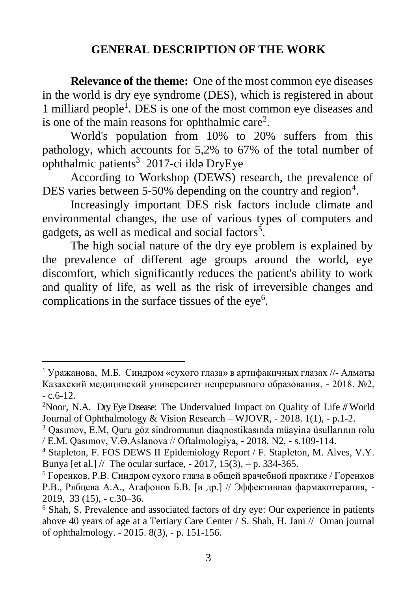### **GENERAL DESCRIPTION OF THE WORK**

**Relevance of the theme:** One of the most common eye diseases in the world is dry eye syndrome (DES), which is registered in about 1 milliard people<sup>1</sup>. DES is one of the most common eye diseases and is one of the main reasons for ophthalmic care<sup>2</sup>.

World's population from 10% to 20% suffers from this pathology, which accounts for 5,2% to 67% of the total number of ophthalmic patients<sup>3</sup> 2017-ci ildə DryEye

According to Workshop (DEWS) research, the prevalence of DES varies between 5-50% depending on the country and region<sup>4</sup>.

Increasingly important DES risk factors include climate and environmental changes, the use of various types of computers and gadgets, as well as medical and social factors<sup>5</sup>.

The high social nature of the dry eye problem is explained by the prevalence of different age groups around the world, eye discomfort, which significantly reduces the patient's ability to work and quality of life, as well as the risk of irreversible changes and complications in the surface tissues of the eye<sup>6</sup>.

1

<sup>&</sup>lt;sup>1</sup> Уражанова, М.Б. Синдром «сухого глаза» в артифакичных глазах //- Алматы Казахский медицинский университет непрерывного образования, - 2018. №2,  $-c.6-12.$ 

<sup>2</sup>Noor, N.A. Dry Eye Disease: The Undervalued Impact on Quality of Life **//** [World](http://irispublishers.com/wjovr)  [Journal of Ophthalmology & Vision Research –](http://irispublishers.com/wjovr) WJOVR, - 2018. 1(1), - p.1-2.

<sup>3</sup> Qasımov, E.M, Quru göz sindromunun diaqnostikasında müayinə üsullarının rolu / E.M. Qasımov, V.Ə.Aslanova // Oftalmologiya, - 2018. N2, - s.109-114.

<sup>4</sup> Stapleton, F. FOS DEWS II Epidemiology Report / F. Stapleton, M. Alves, V.Y. Bunya [et al.] // The ocular surface,  $-2017$ ,  $15(3)$ ,  $-$  p. 334-365.

<sup>5</sup> Горенков, Р.В. Синдром сухого глаза в общей врачебной практике / Горенков Р.В., Рябцева А.А., Агафонов Б.В. [и др.] // Эффективная фармакотерапия, - 2019, 33 (15), - c.30–36.

 $6$  Shah, S. Prevalence and associated factors of dry eye: Our experience in patients above 40 years of age at a Tertiary Care Center / S. Shah, H. Jani /[/ Oman journal](https://www.ncbi.nlm.nih.gov/pmc/articles/PMC4738658/)  [of ophthalmology. -](https://www.ncbi.nlm.nih.gov/pmc/articles/PMC4738658/) 2015. 8(3), - p. 151-156.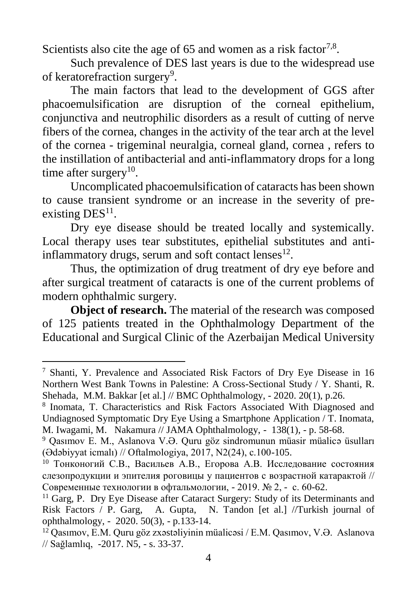Scientists also cite the age of 65 and women as a risk factor<sup>7,8</sup>.

Such prevalence of DES last years is due to the widespread use of keratorefraction surgery<sup>9</sup>.

The main factors that lead to the development of GGS after phacoemulsification are disruption of the corneal epithelium, conjunctiva and neutrophilic disorders as a result of cutting of nerve fibers of the cornea, changes in the activity of the tear arch at the level of the cornea - trigeminal neuralgia, corneal gland, cornea , refers to the instillation of antibacterial and anti-inflammatory drops for a long time after surgery<sup>10</sup>.

Uncomplicated phacoemulsification of cataracts has been shown to cause transient syndrome or an increase in the severity of preexisting  $DES<sup>11</sup>$ .

Dry eye disease should be treated locally and systemically. Local therapy uses tear substitutes, epithelial substitutes and antiinflammatory drugs, serum and soft contact lenses $^{12}$ .

Thus, the optimization of drug treatment of dry eye before and after surgical treatment of cataracts is one of the current problems of modern ophthalmic surgery.

**Object of research.** The material of the research was composed of 125 patients treated in the Ophthalmology Department of the Educational and Surgical Clinic of the Azerbaijan Medical University

1

<sup>&</sup>lt;sup>7</sup> Shanti, Y. Prevalence and Associated Risk Factors of Dry Eye Disease in 16 Northern West Bank Towns in Palestine: A Cross-Sectional Study / Y. Shanti, R. Shehada, M.M. Bakkar [et al.] // BMC Ophthalmology, - 2020. 20(1), p.26.

<sup>8</sup> Inomata, T. Characteristics and Risk Factors Associated With Diagnosed and Undiagnosed Symptomatic Dry Eye Using a Smartphone Application / T. Inomata, M. Iwagami, M. Nakamura // JAMA Ophthalmology, - 138(1), - p. 58-68.

<sup>9</sup> Qasımov E. M., Aslanova V.Ə. Quru göz sindromunun müasir müalicə üsulları (Ədəbiyyat icmalı) // Oftalmologiya, 2017, N2(24), c.100-105.

<sup>10</sup> Тонконогий С.В., Васильев А.В., Егорова А.В. Исследование состояния слезопродукции и эпителия роговицы у пациентов с возрастной катарактой // Современные технологии в офтальмологии, - 2019. № 2, - с. 60-62.

<sup>&</sup>lt;sup>11</sup> [Garg,](https://www.ncbi.nlm.nih.gov/pubmed/?term=Garg%20P%5BAuthor%5D&cauthor=true&cauthor_uid=32630999) P. Dry Eye Disease after Cataract Surgery: Study of its Determinants and Risk Factors / P. [Garg,](https://www.ncbi.nlm.nih.gov/pubmed/?term=Garg%20P%5BAuthor%5D&cauthor=true&cauthor_uid=32630999) A. [Gupta,](https://www.ncbi.nlm.nih.gov/pubmed/?term=Gupta%20A%5BAuthor%5D&cauthor=true&cauthor_uid=32630999) N. [Tandon](https://www.ncbi.nlm.nih.gov/pubmed/?term=Tandon%20N%5BAuthor%5D&cauthor=true&cauthor_uid=32630999) [et al.] //Turkish journal of ophthalmology, - 2020. 50(3), - p.133-14.

<sup>12</sup> Qasımov, E.M. Quru göz zxəstəliyinin müalicəsi / E.M. Qasımov, V.Ə. Aslanova // Sağlamlıq, -2017. N5, - s. 33-37.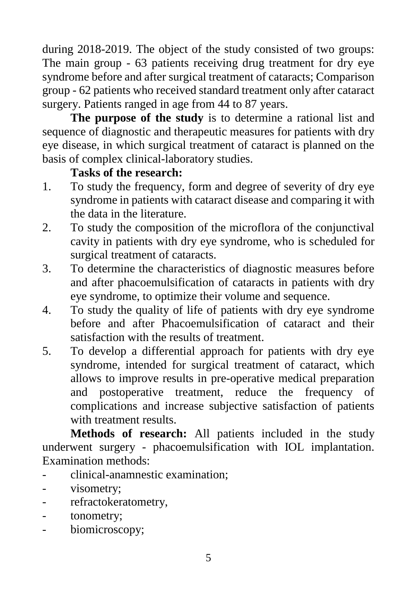during 2018-2019. The object of the study consisted of two groups: The main group - 63 patients receiving drug treatment for dry eye syndrome before and after surgical treatment of cataracts; Comparison group - 62 patients who received standard treatment only after cataract surgery. Patients ranged in age from 44 to 87 years.

**The purpose of the study** is to determine a rational list and sequence of diagnostic and therapeutic measures for patients with dry eye disease, in which surgical treatment of cataract is planned on the basis of complex clinical-laboratory studies.

### **Tasks of the research:**

- 1. To study the frequency, form and degree of severity of dry eye syndrome in patients with cataract disease and comparing it with the data in the literature.
- 2. To study the composition of the microflora of the conjunctival cavity in patients with dry eye syndrome, who is scheduled for surgical treatment of cataracts.
- 3. To determine the characteristics of diagnostic measures before and after phacoemulsification of cataracts in patients with dry eye syndrome, to optimize their volume and sequence.
- 4. To study the quality of life of patients with dry eye syndrome before and after Phacoemulsification of cataract and their satisfaction with the results of treatment.
- 5. To develop a differential approach for patients with dry eye syndrome, intended for surgical treatment of cataract, which allows to improve results in pre-operative medical preparation and postoperative treatment, reduce the frequency of complications and increase subjective satisfaction of patients with treatment results.

**Methods of research:** All patients included in the study underwent surgery - phacoemulsification with IOL implantation. Examination methods:

- clinical-anamnestic examination;
- visometry;
- refractokeratometry,
- tonometry;
- biomicroscopy;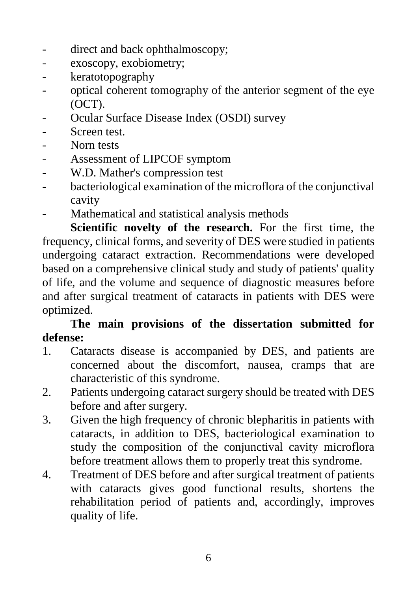- direct and back ophthalmoscopy;
- exoscopy, exobiometry;
- keratotopography
- optical coherent tomography of the anterior segment of the eye (OCT).
- Ocular Surface Disease Index (OSDI) survey
- Screen test.
- Norn tests
- Assessment of LIPCOF symptom
- W.D. Mather's compression test
- bacteriological examination of the microflora of the conjunctival cavity
- Mathematical and statistical analysis methods

**Scientific novelty of the research.** For the first time, the frequency, clinical forms, and severity of DES were studied in patients undergoing cataract extraction. Recommendations were developed based on a comprehensive clinical study and study of patients' quality of life, and the volume and sequence of diagnostic measures before and after surgical treatment of cataracts in patients with DES were optimized.

### **The main provisions of the dissertation submitted for defense:**

- 1. Cataracts disease is accompanied by DES, and patients are concerned about the discomfort, nausea, cramps that are characteristic of this syndrome.
- 2. Patients undergoing cataract surgery should be treated with DES before and after surgery.
- 3. Given the high frequency of chronic blepharitis in patients with cataracts, in addition to DES, bacteriological examination to study the composition of the conjunctival cavity microflora before treatment allows them to properly treat this syndrome.
- 4. Treatment of DES before and after surgical treatment of patients with cataracts gives good functional results, shortens the rehabilitation period of patients and, accordingly, improves quality of life.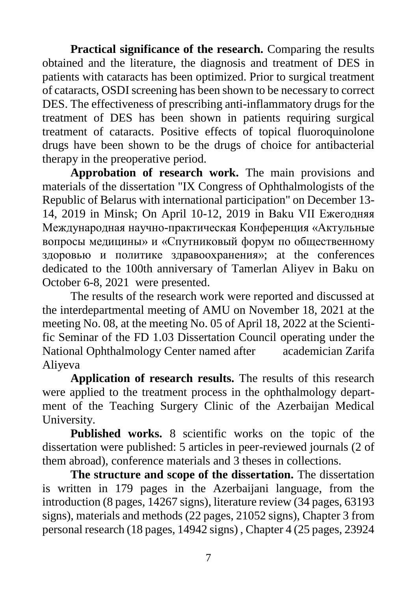**Practical significance of the research.** Comparing the results obtained and the literature, the diagnosis and treatment of DES in patients with cataracts has been optimized. Prior to surgical treatment of cataracts, OSDI screening has been shown to be necessary to correct DES. The effectiveness of prescribing anti-inflammatory drugs for the treatment of DES has been shown in patients requiring surgical treatment of cataracts. Positive effects of topical fluoroquinolone drugs have been shown to be the drugs of choice for antibacterial therapy in the preoperative period.

**Approbation of research work.** The main provisions and materials of the dissertation "IX Congress of Ophthalmologists of the Republic of Belarus with international participation" on December 13- 14, 2019 in Minsk; On April 10-12, 2019 in Baku VII Ежегодняя Международная научно-практическая Конференция «Актульные вопросы медицины» и «Спутниковый форум по общественному здоровью и политике здравоохранения»; at the conferences dedicated to the 100th anniversary of Tamerlan Aliyev in Baku on October 6-8, 2021 were presented.

The results of the research work were reported and discussed at the interdepartmental meeting of AMU on November 18, 2021 at the meeting No. 08, at the meeting No. 05 of April 18, 2022 at the Scientific Seminar of the FD 1.03 Dissertation Council operating under the National Ophthalmology Center named after academician Zarifa Aliyeva

**Application of research results.** The results of this research were applied to the treatment process in the ophthalmology department of the Teaching Surgery Clinic of the Azerbaijan Medical University.

**Published works.** 8 scientific works on the topic of the dissertation were published: 5 articles in peer-reviewed journals (2 of them abroad), conference materials and 3 theses in collections.

**The structure and scope of the dissertation.** The dissertation is written in 179 pages in the Azerbaijani language, from the introduction (8 pages, 14267 signs), literature review (34 pages, 63193 signs), materials and methods (22 pages, 21052 signs), Chapter 3 from personal research (18 pages, 14942 signs) , Chapter 4 (25 pages, 23924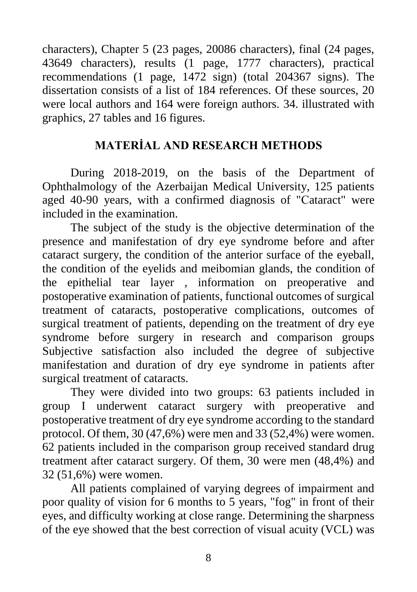characters), Chapter 5 (23 pages, 20086 characters), final (24 pages, 43649 characters), results (1 page, 1777 characters), practical recommendations (1 page, 1472 sign) (total 204367 signs). The dissertation consists of a list of 184 references. Of these sources, 20 were local authors and 164 were foreign authors. 34. illustrated with graphics, 27 tables and 16 figures.

## **MATERİAL AND RESEARCH METHODS**

During 2018-2019, on the basis of the Department of Ophthalmology of the Azerbaijan Medical University, 125 patients aged 40-90 years, with a confirmed diagnosis of "Сataract" were included in the examination.

The subject of the study is the objective determination of the presence and manifestation of dry eye syndrome before and after cataract surgery, the condition of the anterior surface of the eyeball, the condition of the eyelids and meibomian glands, the condition of the epithelial tear layer , information on preoperative and postoperative examination of patients, functional outcomes of surgical treatment of cataracts, postoperative complications, outcomes of surgical treatment of patients, depending on the treatment of dry eye syndrome before surgery in research and comparison groups Subjective satisfaction also included the degree of subjective manifestation and duration of dry eye syndrome in patients after surgical treatment of cataracts.

They were divided into two groups: 63 patients included in group I underwent cataract surgery with preoperative and postoperative treatment of dry eye syndrome according to the standard protocol. Of them, 30 (47,6%) were men and 33 (52,4%) were women. 62 patients included in the comparison group received standard drug treatment after cataract surgery. Of them, 30 were men (48,4%) and 32 (51,6%) were women.

All patients complained of varying degrees of impairment and poor quality of vision for 6 months to 5 years, "fog" in front of their eyes, and difficulty working at close range. Determining the sharpness of the eye showed that the best correction of visual acuity (VCL) was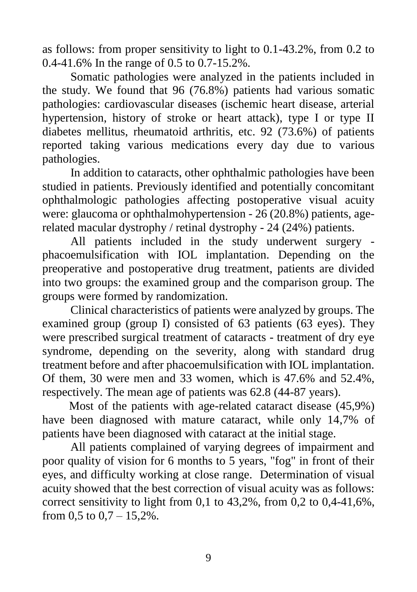as follows: from proper sensitivity to light to 0.1-43.2%, from 0.2 to 0.4-41.6% In the range of 0.5 to 0.7-15.2%.

Somatic pathologies were analyzed in the patients included in the study. We found that 96 (76.8%) patients had various somatic pathologies: cardiovascular diseases (ischemic heart disease, arterial hypertension, history of stroke or heart attack), type I or type II diabetes mellitus, rheumatoid arthritis, etc. 92 (73.6%) of patients reported taking various medications every day due to various pathologies.

In addition to cataracts, other ophthalmic pathologies have been studied in patients. Previously identified and potentially concomitant ophthalmologic pathologies affecting postoperative visual acuity were: glaucoma or ophthalmohypertension - 26 (20.8%) patients, agerelated macular dystrophy / retinal dystrophy - 24 (24%) patients.

All patients included in the study underwent surgery phacoemulsification with IOL implantation. Depending on the preoperative and postoperative drug treatment, patients are divided into two groups: the examined group and the comparison group. The groups were formed by randomization.

Clinical characteristics of patients were analyzed by groups. The examined group (group I) consisted of 63 patients (63 eyes). They were prescribed surgical treatment of cataracts - treatment of dry eye syndrome, depending on the severity, along with standard drug treatment before and after phacoemulsification with IOL implantation. Of them, 30 were men and 33 women, which is 47.6% and 52.4%, respectively. The mean age of patients was 62.8 (44-87 years).

 Most of the patients with age-related cataract disease (45,9%) have been diagnosed with mature cataract, while only 14,7% of patients have been diagnosed with cataract at the initial stage.

All patients complained of varying degrees of impairment and poor quality of vision for 6 months to 5 years, "fog" in front of their eyes, and difficulty working at close range. Determination of visual acuity showed that the best correction of visual acuity was as follows: correct sensitivity to light from  $0.1$  to  $43.2\%$ , from  $0.2$  to  $0.4-41.6\%$ , from 0,5 to  $0.7 - 15,2\%$ .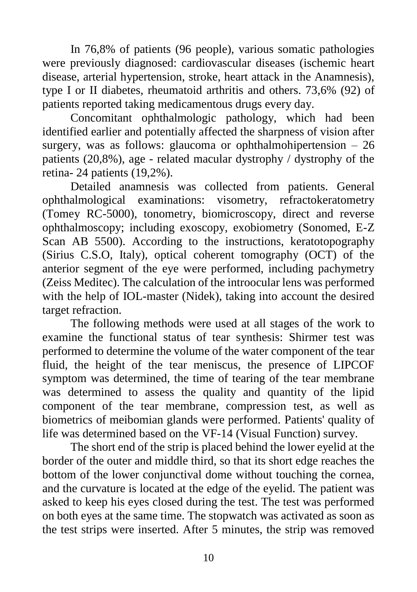In 76,8% of patients (96 people), various somatic pathologies were previously diagnosed: cardiovascular diseases (ischemic heart disease, arterial hypertension, stroke, heart attack in the Anamnesis), type I or II diabetes, rheumatoid arthritis and others. 73,6% (92) of patients reported taking medicamentous drugs every day.

Concomitant ophthalmologic pathology, which had been identified earlier and potentially affected the sharpness of vision after surgery, was as follows: glaucoma or ophthalmohipertension – 26 patients (20,8%), age - related macular dystrophy / dystrophy of the retina- 24 patients (19,2%).

Detailed anamnesis was collected from patients. General ophthalmological examinations: visometry, refractokeratometry (Tomey RC-5000), tonometry, biomicroscopy, direct and reverse ophthalmoscopy; including exoscopy, exobiometry (Sonomed, E-Z Scan AB 5500). According to the instructions, keratotopography (Sirius C.S.O, Italy), optical coherent tomography (OCT) of the anterior segment of the eye were performed, including pachymetry (Zeiss Meditec). The calculation of the introocular lens was performed with the help of IOL-master (Nidek), taking into account the desired target refraction.

The following methods were used at all stages of the work to examine the functional status of tear synthesis: Shirmer test was performed to determine the volume of the water component of the tear fluid, the height of the tear meniscus, the presence of LIPCOF symptom was determined, the time of tearing of the tear membrane was determined to assess the quality and quantity of the lipid component of the tear membrane, compression test, as well as biometrics of meibomian glands were performed. Patients' quality of life was determined based on the VF-14 (Visual Function) survey.

The short end of the strip is placed behind the lower eyelid at the border of the outer and middle third, so that its short edge reaches the bottom of the lower conjunctival dome without touching the cornea, and the curvature is located at the edge of the eyelid. The patient was asked to keep his eyes closed during the test. The test was performed on both eyes at the same time. The stopwatch was activated as soon as the test strips were inserted. After 5 minutes, the strip was removed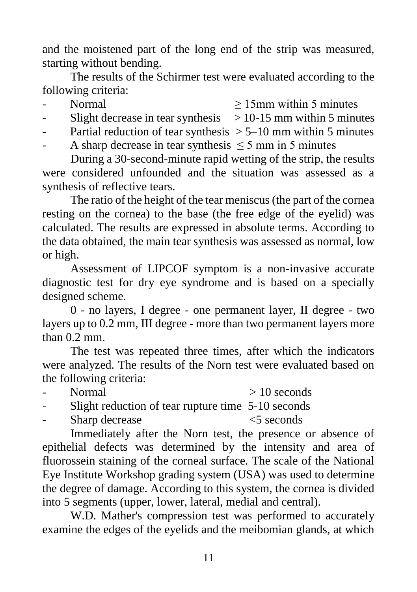and the moistened part of the long end of the strip was measured, starting without bending.

The results of the Schirmer test were evaluated according to the following criteria:

- $Normal \t > 15 \text{mm}$  within 5 minutes
	- Slight decrease in tear synthesis  $> 10-15$  mm within 5 minutes
- Partial reduction of tear synthesis  $> 5$ –10 mm within 5 minutes
- A sharp decrease in tear synthesis  $\leq$  5 mm in 5 minutes

During a 30-second-minute rapid wetting of the strip, the results were considered unfounded and the situation was assessed as a synthesis of reflective tears.

The ratio of the height of the tear meniscus (the part of the cornea resting on the cornea) to the base (the free edge of the eyelid) was calculated. The results are expressed in absolute terms. According to the data obtained, the main tear synthesis was assessed as normal, low or high.

Assessment of LIPCOF symptom is a non-invasive accurate diagnostic test for dry eye syndrome and is based on a specially designed scheme.

0 - no layers, I degree - one permanent layer, II degree - two layers up to 0.2 mm, III degree - more than two permanent layers more than 0.2 mm.

The test was repeated three times, after which the indicators were analyzed. The results of the Norn test were evaluated based on the following criteria:

| Normal                                                                                                                      | $>10$ seconds |
|-----------------------------------------------------------------------------------------------------------------------------|---------------|
| $\mathcal{O}11.14 \ldots 1.14$ is $\mathcal{O}1.14$ is a set of $\mathcal{O}1.14$ is $\mathcal{O}1.14$ is $\mathcal{O}1.14$ |               |

- Slight reduction of tear rupture time 5-10 seconds
- Sharp decrease  $\le$  5 seconds

Immediately after the Norn test, the presence or absence of epithelial defects was determined by the intensity and area of fluorossein staining of the corneal surface. The scale of the National Eye Institute Workshop grading system (USA) was used to determine the degree of damage. According to this system, the cornea is divided into 5 segments (upper, lower, lateral, medial and central).

W.D. Mather's compression test was performed to accurately examine the edges of the eyelids and the meibomian glands, at which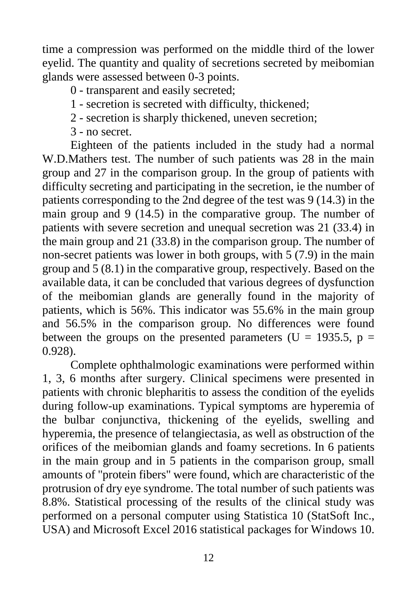time a compression was performed on the middle third of the lower eyelid. The quantity and quality of secretions secreted by meibomian glands were assessed between 0-3 points.

0 - transparent and easily secreted;

- 1 secretion is secreted with difficulty, thickened;
- 2 secretion is sharply thickened, uneven secretion;
- 3 no secret.

Eighteen of the patients included in the study had a normal W.D.Mathers test. The number of such patients was 28 in the main group and 27 in the comparison group. In the group of patients with difficulty secreting and participating in the secretion, ie the number of patients corresponding to the 2nd degree of the test was 9 (14.3) in the main group and 9 (14.5) in the comparative group. The number of patients with severe secretion and unequal secretion was 21 (33.4) in the main group and 21 (33.8) in the comparison group. The number of non-secret patients was lower in both groups, with 5 (7.9) in the main group and 5 (8.1) in the comparative group, respectively. Based on the available data, it can be concluded that various degrees of dysfunction of the meibomian glands are generally found in the majority of patients, which is 56%. This indicator was 55.6% in the main group and 56.5% in the comparison group. No differences were found between the groups on the presented parameters ( $U = 1935.5$ ,  $p =$ 0.928).

Complete ophthalmologic examinations were performed within 1, 3, 6 months after surgery. Clinical specimens were presented in patients with chronic blepharitis to assess the condition of the eyelids during follow-up examinations. Typical symptoms are hyperemia of the bulbar conjunctiva, thickening of the eyelids, swelling and hyperemia, the presence of telangiectasia, as well as obstruction of the orifices of the meibomian glands and foamy secretions. In 6 patients in the main group and in 5 patients in the comparison group, small amounts of "protein fibers" were found, which are characteristic of the protrusion of dry eye syndrome. The total number of such patients was 8.8%. Statistical processing of the results of the clinical study was performed on a personal computer using Statistica 10 (StatSoft Inc., USA) and Microsoft Excel 2016 statistical packages for Windows 10.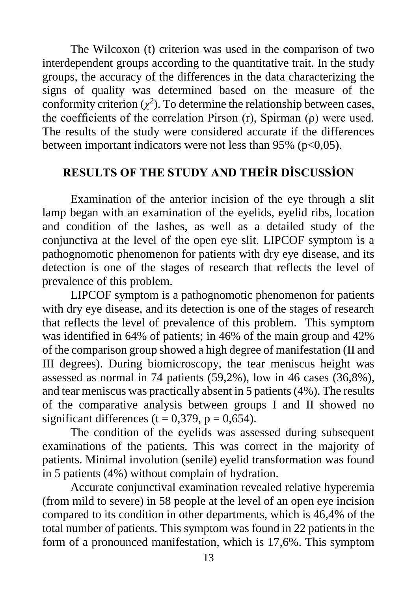The Wilcoxon (t) criterion was used in the comparison of two interdependent groups according to the quantitative trait. In the study groups, the accuracy of the differences in the data characterizing the signs of quality was determined based on the measure of the conformity criterion  $(\chi^2)$ . To determine the relationship between cases, the coefficients of the correlation Pirson  $(r)$ , Spirman  $(\rho)$  were used. The results of the study were considered accurate if the differences between important indicators were not less than 95% ( $p<0,05$ ).

#### **RESULTS OF THE STUDY AND THEİR DİSCUSSİON**

Examination of the anterior incision of the eye through a slit lamp began with an examination of the eyelids, eyelid ribs, location and condition of the lashes, as well as a detailed study of the conjunctiva at the level of the open eye slit. LIPCOF symptom is a pathognomotic phenomenon for patients with dry eye disease, and its detection is one of the stages of research that reflects the level of prevalence of this problem.

LIPCOF symptom is a pathognomotic phenomenon for patients with dry eye disease, and its detection is one of the stages of research that reflects the level of prevalence of this problem. This symptom was identified in 64% of patients; in 46% of the main group and 42% of the comparison group showed a high degree of manifestation (II and III degrees). During biomicroscopy, the tear meniscus height was assessed as normal in 74 patients (59,2%), low in 46 cases (36,8%), and tear meniscus was practically absent in 5 patients (4%). The results of the comparative analysis between groups I and II showed no significant differences (t =  $0,379$ , p =  $0,654$ ).

The condition of the eyelids was assessed during subsequent examinations of the patients. This was correct in the majority of patients. Minimal involution (senile) eyelid transformation was found in 5 patients (4%) without complain of hydration.

Accurate conjunctival examination revealed relative hyperemia (from mild to severe) in 58 people at the level of an open eye incision compared to its condition in other departments, which is 46,4% of the total number of patients. This symptom was found in 22 patients in the form of a pronounced manifestation, which is 17,6%. This symptom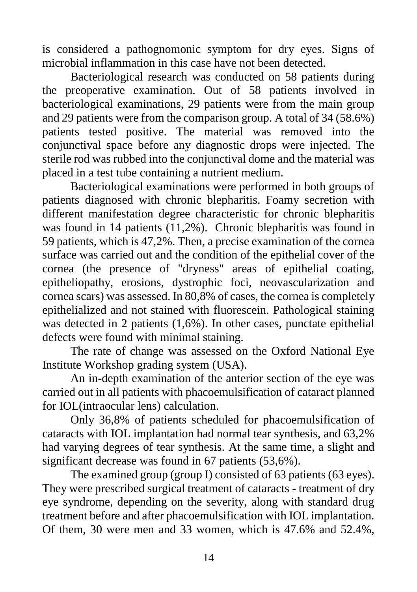is considered a pathognomonic symptom for dry eyes. Signs of microbial inflammation in this case have not been detected.

Bacteriological research was conducted on 58 patients during the preoperative examination. Out of 58 patients involved in bacteriological examinations, 29 patients were from the main group and 29 patients were from the comparison group. A total of 34 (58.6%) patients tested positive. The material was removed into the conjunctival space before any diagnostic drops were injected. The sterile rod was rubbed into the conjunctival dome and the material was placed in a test tube containing a nutrient medium.

Bacteriological examinations were performed in both groups of patients diagnosed with chronic blepharitis. Foamy secretion with different manifestation degree characteristic for chronic blepharitis was found in 14 patients (11,2%). Chronic blepharitis was found in 59 patients, which is 47,2%. Then, a precise examination of the cornea surface was carried out and the condition of the epithelial cover of the cornea (the presence of "dryness" areas of epithelial coating, epitheliopathy, erosions, dystrophic foci, neovascularization and cornea scars) was assessed. In 80,8% of cases, the cornea is completely epithelialized and not stained with fluorescein. Pathological staining was detected in 2 patients (1,6%). In other cases, punctate epithelial defects were found with minimal staining.

The rate of change was assessed on the Oxford National Eye Institute Workshop grading system (USA).

An in-depth examination of the anterior section of the eye was carried out in all patients with phacoemulsification of cataract planned for IOL(intraocular lens) calculation.

Only 36,8% of patients scheduled for phacoemulsification of cataracts with IOL implantation had normal tear synthesis, and 63,2% had varying degrees of tear synthesis. At the same time, a slight and significant decrease was found in 67 patients (53,6%).

The examined group (group I) consisted of 63 patients (63 eyes). They were prescribed surgical treatment of cataracts - treatment of dry eye syndrome, depending on the severity, along with standard drug treatment before and after phacoemulsification with IOL implantation. Of them, 30 were men and 33 women, which is 47.6% and 52.4%,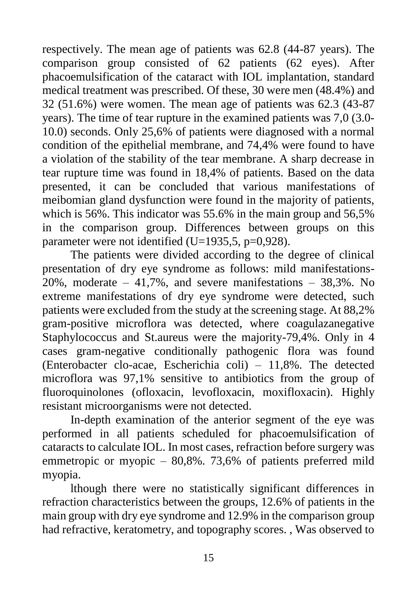respectively. The mean age of patients was 62.8 (44-87 years). The comparison group consisted of 62 patients (62 eyes). After phacoemulsification of the cataract with IOL implantation, standard medical treatment was prescribed. Of these, 30 were men (48.4%) and 32 (51.6%) were women. The mean age of patients was 62.3 (43-87 years). The time of tear rupture in the examined patients was 7,0 (3.0- 10.0) seconds. Only 25,6% of patients were diagnosed with a normal condition of the epithelial membrane, and 74,4% were found to have a violation of the stability of the tear membrane. A sharp decrease in tear rupture time was found in 18,4% of patients. Based on the data presented, it can be concluded that various manifestations of meibomian gland dysfunction were found in the majority of patients, which is 56%. This indicator was 55.6% in the main group and 56,5% in the comparison group. Differences between groups on this parameter were not identified (U=1935,5, p=0,928).

The patients were divided according to the degree of clinical presentation of dry eye syndrome as follows: mild manifestations-20%, moderate  $-41,7\%$ , and severe manifestations  $-38,3\%$ . No extreme manifestations of dry eye syndrome were detected, such patients were excluded from the study at the screening stage. At 88,2% gram-positive microflora was detected, where coagulazanegative Staphylococcus and St.aureus were the majority-79,4%. Only in 4 cases gram-negative conditionally pathogenic flora was found (Enterobacter clo-acae, Escherichia coli) – 11,8%. The detected microflora was 97,1% sensitive to antibiotics from the group of fluoroquinolones (ofloxacin, levofloxacin, moxifloxacin). Highly resistant microorganisms were not detected.

In-depth examination of the anterior segment of the eye was performed in all patients scheduled for phacoemulsification of cataracts to calculate IOL. In most cases, refraction before surgery was emmetropic or myopic – 80,8%. 73,6% of patients preferred mild myopia.

lthough there were no statistically significant differences in refraction characteristics between the groups, 12.6% of patients in the main group with dry eye syndrome and 12.9% in the comparison group had refractive, keratometry, and topography scores. , Was observed to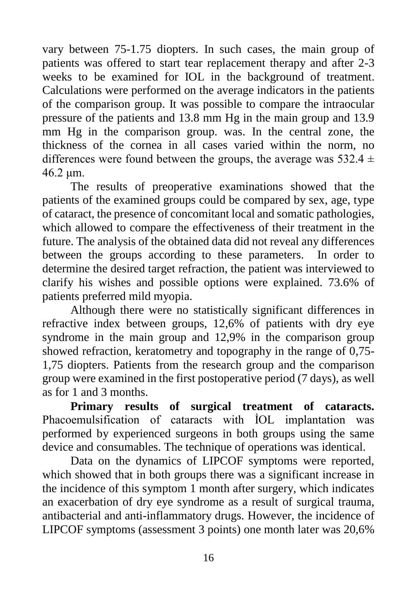vary between 75-1.75 diopters. In such cases, the main group of patients was offered to start tear replacement therapy and after 2-3 weeks to be examined for IOL in the background of treatment. Calculations were performed on the average indicators in the patients of the comparison group. It was possible to compare the intraocular pressure of the patients and 13.8 mm Hg in the main group and 13.9 mm Hg in the comparison group. was. In the central zone, the thickness of the cornea in all cases varied within the norm, no differences were found between the groups, the average was  $532.4 \pm 1$ 46.2 μm.

The results of preoperative examinations showed that the patients of the examined groups could be compared by sex, age, type of cataract, the presence of concomitant local and somatic pathologies, which allowed to compare the effectiveness of their treatment in the future. The analysis of the obtained data did not reveal any differences between the groups according to these parameters. In order to determine the desired target refraction, the patient was interviewed to clarify his wishes and possible options were explained. 73.6% of patients preferred mild myopia.

Although there were no statistically significant differences in refractive index between groups, 12,6% of patients with dry eye syndrome in the main group and 12,9% in the comparison group showed refraction, keratometry and topography in the range of 0,75- 1,75 diopters. Patients from the research group and the comparison group were examined in the first postoperative period (7 days), as well as for 1 and 3 months.

**Primary results of surgical treatment of cataracts.**  Phacoemulsification of cataracts with İOL implantation was performed by experienced surgeons in both groups using the same device and consumables. The technique of operations was identical.

Data on the dynamics of LIPCOF symptoms were reported, which showed that in both groups there was a significant increase in the incidence of this symptom 1 month after surgery, which indicates an exacerbation of dry eye syndrome as a result of surgical trauma, antibacterial and anti-inflammatory drugs. However, the incidence of LIPCOF symptoms (assessment 3 points) one month later was 20,6%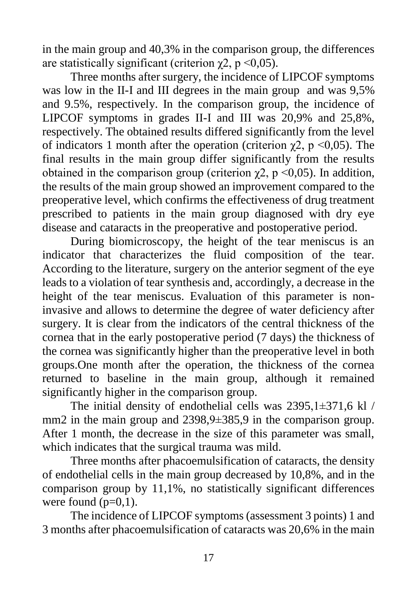in the main group and 40,3% in the comparison group, the differences are statistically significant (criterion  $\gamma$ 2, p <0,05).

Three months after surgery, the incidence of LIPCOF symptoms was low in the II-I and III degrees in the main group and was 9,5% and 9.5%, respectively. In the comparison group, the incidence of LIPCOF symptoms in grades II-I and III was 20,9% and 25,8%, respectively. The obtained results differed significantly from the level of indicators 1 month after the operation (criterion  $\gamma$ 2, p <0,05). The final results in the main group differ significantly from the results obtained in the comparison group (criterion  $\gamma$ 2, p <0,05). In addition, the results of the main group showed an improvement compared to the preoperative level, which confirms the effectiveness of drug treatment prescribed to patients in the main group diagnosed with dry eye disease and cataracts in the preoperative and postoperative period.

During biomicroscopy, the height of the tear meniscus is an indicator that characterizes the fluid composition of the tear. According to the literature, surgery on the anterior segment of the eye leads to a violation of tear synthesis and, accordingly, a decrease in the height of the tear meniscus. Evaluation of this parameter is noninvasive and allows to determine the degree of water deficiency after surgery. It is clear from the indicators of the central thickness of the cornea that in the early postoperative period (7 days) the thickness of the cornea was significantly higher than the preoperative level in both groups.One month after the operation, the thickness of the cornea returned to baseline in the main group, although it remained significantly higher in the comparison group.

The initial density of endothelial cells was 2395,1±371,6 kl / mm2 in the main group and 2398,9±385,9 in the comparison group. After 1 month, the decrease in the size of this parameter was small, which indicates that the surgical trauma was mild.

Three months after phacoemulsification of cataracts, the density of endothelial cells in the main group decreased by 10,8%, and in the comparison group by 11,1%, no statistically significant differences were found  $(p=0,1)$ .

The incidence of LIPCOF symptoms (assessment 3 points) 1 and 3 months after phacoemulsification of cataracts was 20,6% in the main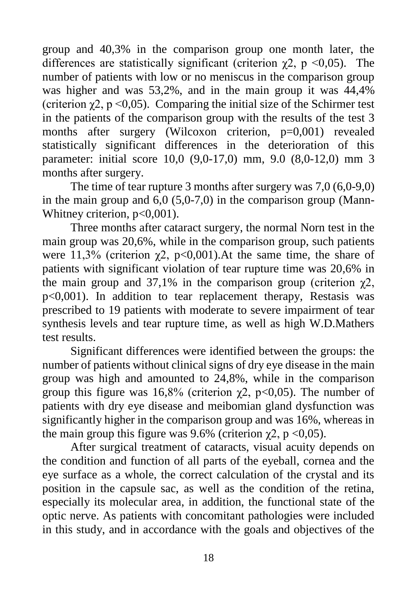group and 40,3% in the comparison group one month later, the differences are statistically significant (criterion  $\gamma$ 2, p <0,05). The number of patients with low or no meniscus in the comparison group was higher and was 53,2%, and in the main group it was 44,4% (criterion  $\gamma$ 2, p <0,05). Comparing the initial size of the Schirmer test in the patients of the comparison group with the results of the test 3 months after surgery (Wilcoxon criterion, p=0,001) revealed statistically significant differences in the deterioration of this parameter: initial score 10,0 (9,0-17,0) mm, 9.0 (8,0-12,0) mm 3 months after surgery.

The time of tear rupture 3 months after surgery was 7,0 (6,0-9,0) in the main group and  $6.0$  (5,0-7,0) in the comparison group (Mann-Whitney criterion,  $p<0,001$ ).

Three months after cataract surgery, the normal Norn test in the main group was 20,6%, while in the comparison group, such patients were 11,3% (criterion  $\chi$ 2, p<0,001). At the same time, the share of patients with significant violation of tear rupture time was 20,6% in the main group and 37,1% in the comparison group (criterion  $\gamma$ 2, p<0,001). In addition to tear replacement therapy, Restasis was prescribed to 19 patients with moderate to severe impairment of tear synthesis levels and tear rupture time, as well as high W.D.Mathers test results.

Significant differences were identified between the groups: the number of patients without clinical signs of dry eye disease in the main group was high and amounted to 24,8%, while in the comparison group this figure was 16,8% (criterion  $\chi$ 2, p<0,05). The number of patients with dry eye disease and meibomian gland dysfunction was significantly higher in the comparison group and was 16%, whereas in the main group this figure was 9.6% (criterion  $\gamma$ 2, p <0,05).

After surgical treatment of cataracts, visual acuity depends on the condition and function of all parts of the eyeball, cornea and the eye surface as a whole, the correct calculation of the crystal and its position in the capsule sac, as well as the condition of the retina, especially its molecular area, in addition, the functional state of the optic nerve. As patients with concomitant pathologies were included in this study, and in accordance with the goals and objectives of the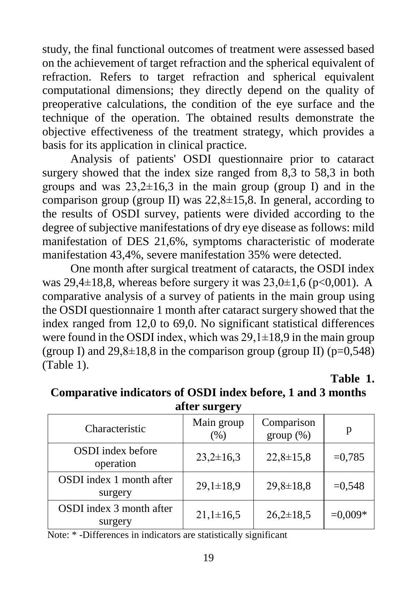study, the final functional outcomes of treatment were assessed based on the achievement of target refraction and the spherical equivalent of refraction. Refers to target refraction and spherical equivalent computational dimensions; they directly depend on the quality of preoperative calculations, the condition of the eye surface and the technique of the operation. The obtained results demonstrate the objective effectiveness of the treatment strategy, which provides a basis for its application in clinical practice.

Analysis of patients' OSDI questionnaire prior to cataract surgery showed that the index size ranged from 8,3 to 58,3 in both groups and was  $23,2\pm 16,3$  in the main group (group I) and in the comparison group (group II) was  $22,8\pm 15,8$ . In general, according to the results of OSDI survey, patients were divided according to the degree of subjective manifestations of dry eye disease as follows: mild manifestation of DES 21,6%, symptoms characteristic of moderate manifestation 43,4%, severe manifestation 35% were detected.

One month after surgical treatment of cataracts, the OSDI index was  $29,4\pm18,8$ , whereas before surgery it was  $23,0\pm1,6$  (p<0,001). A comparative analysis of a survey of patients in the main group using the OSDI questionnaire 1 month after cataract surgery showed that the index ranged from 12,0 to 69,0. No significant statistical differences were found in the OSDI index, which was  $29,1\pm18,9$  in the main group (group I) and  $29,8\pm18,8$  in the comparison group (group II) (p=0,548) (Table 1).

**Table 1.**

| $\frac{1}{2}$                       |                      |                         |           |  |  |
|-------------------------------------|----------------------|-------------------------|-----------|--|--|
| Characteristic                      | Main group<br>$(\%)$ | Comparison<br>group (%) | р         |  |  |
| OSDI index before<br>operation      | $23,2\pm 16,3$       | $22,8 \pm 15,8$         | $=0,785$  |  |  |
| OSDI index 1 month after<br>surgery | $29,1 \pm 18,9$      | $29,8 \pm 18,8$         | $=0,548$  |  |  |
| OSDI index 3 month after<br>surgery | $21,1 \pm 16,5$      | $26,2\pm 18,5$          | $=0,009*$ |  |  |

**Comparative indicators of OSDI index before, 1 and 3 months after surgery**

Note: \* -Differences in indicators are statistically significant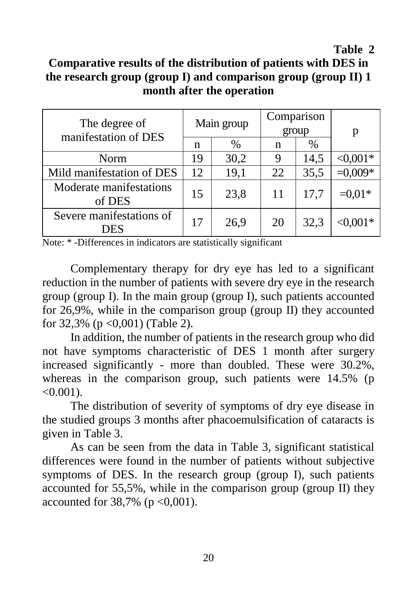#### **Table 2**

### **Comparative results of the distribution of patients with DES in the research group (group I) and comparison group (group II) 1 month after the operation**

| The degree of<br>manifestation of DES | Main group |      | Comparison<br>group |      | р         |
|---------------------------------------|------------|------|---------------------|------|-----------|
|                                       | n          | $\%$ | n                   | $\%$ |           |
| Norm                                  | 19         | 30,2 | 9                   | 14,5 | $<0.001*$ |
| Mild manifestation of DES             | 12         | 19,1 | 22                  | 35,5 | $=0,009*$ |
| Moderate manifestations<br>of DES     | 15         | 23,8 | 11                  | 17,7 | $=0.01*$  |
| Severe manifestations of<br>DES       | 17         | 26,9 | 20                  | 32,3 |           |

Note: \* -Differences in indicators are statistically significant

Complementary therapy for dry eye has led to a significant reduction in the number of patients with severe dry eye in the research group (group I). In the main group (group I), such patients accounted for 26,9%, while in the comparison group (group II) they accounted for  $32.3\%$  (p < 0.001) (Table 2).

In addition, the number of patients in the research group who did not have symptoms characteristic of DES 1 month after surgery increased significantly - more than doubled. These were 30.2%, whereas in the comparison group, such patients were 14.5% (p  $< 0.001$ ).

The distribution of severity of symptoms of dry eye disease in the studied groups 3 months after phacoemulsification of cataracts is given in Table 3.

As can be seen from the data in Table 3, significant statistical differences were found in the number of patients without subjective symptoms of DES. In the research group (group I), such patients accounted for 55,5%, while in the comparison group (group II) they accounted for  $38,7\%$  (p <0,001).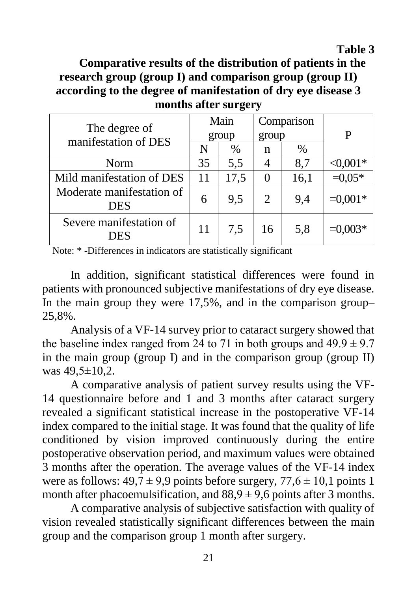**Comparative results of the distribution of patients in the research group (group I) and comparison group (group II) according to the degree of manifestation of dry eye disease 3 months after surgery**

| The degree of                           | Main  |      | Comparison     |      |           |
|-----------------------------------------|-------|------|----------------|------|-----------|
| manifestation of DES                    | group |      | group          |      | P         |
|                                         | N     | %    | n              | %    |           |
| Norm                                    | 35    | 5,5  |                | 8,7  | $<0,001*$ |
| Mild manifestation of DES               | 11    | 17,5 |                | 16,1 | $=0.05*$  |
| Moderate manifestation of<br><b>DES</b> | 6     | 9,5  | $\overline{2}$ | 9,4  |           |
| Severe manifestation of<br>DES          | 11    | 7,5  | 16             | 5,8  |           |

Note: \* -Differences in indicators are statistically significant

In addition, significant statistical differences were found in patients with pronounced subjective manifestations of dry eye disease. In the main group they were 17,5%, and in the comparison group– 25,8%.

Analysis of a VF-14 survey prior to cataract surgery showed that the baseline index ranged from 24 to 71 in both groups and  $49.9 \pm 9.7$ in the main group (group I) and in the comparison group (group II) was 49,5±10,2.

A comparative analysis of patient survey results using the VF-14 questionnaire before and 1 and 3 months after cataract surgery revealed a significant statistical increase in the postoperative VF-14 index compared to the initial stage. It was found that the quality of life conditioned by vision improved continuously during the entire postoperative observation period, and maximum values were obtained 3 months after the operation. The average values of the VF-14 index were as follows:  $49.7 \pm 9.9$  points before surgery,  $77.6 \pm 10.1$  points 1 month after phacoemulsification, and  $88.9 \pm 9.6$  points after 3 months.

A comparative analysis of subjective satisfaction with quality of vision revealed statistically significant differences between the main group and the comparison group 1 month after surgery.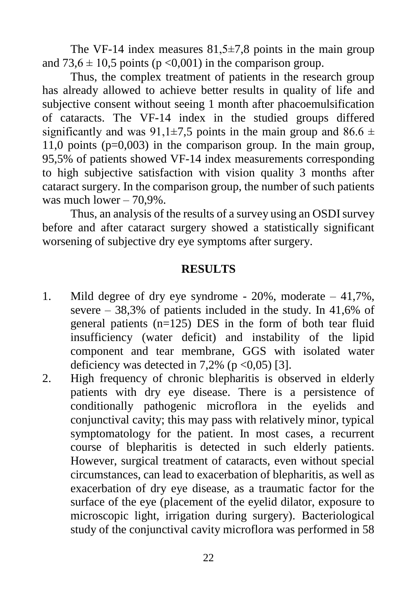The VF-14 index measures  $81,5\pm7,8$  points in the main group and  $73.6 \pm 10.5$  points (p <0.001) in the comparison group.

Thus, the complex treatment of patients in the research group has already allowed to achieve better results in quality of life and subjective consent without seeing 1 month after phacoemulsification of cataracts. The VF-14 index in the studied groups differed significantly and was 91,1 $\pm$ 7,5 points in the main group and 86.6  $\pm$ 11,0 points  $(p=0.003)$  in the comparison group. In the main group, 95,5% of patients showed VF-14 index measurements corresponding to high subjective satisfaction with vision quality 3 months after cataract surgery. In the comparison group, the number of such patients was much lower – 70,9%.

Thus, an analysis of the results of a survey using an OSDI survey before and after cataract surgery showed a statistically significant worsening of subjective dry eye symptoms after surgery.

### **RESULTS**

- 1. Mild degree of dry eye syndrome  $20\%$ , moderate  $-41,7\%$ , severe – 38,3% of patients included in the study. In 41,6% of general patients  $(n=125)$  DES in the form of both tear fluid insufficiency (water deficit) and instability of the lipid component and tear membrane, GGS with isolated water deficiency was detected in 7,2% ( $p < 0.05$ ) [3].
- 2. High frequency of chronic blepharitis is observed in elderly patients with dry eye disease. There is a persistence of conditionally pathogenic microflora in the eyelids and conjunctival cavity; this may pass with relatively minor, typical symptomatology for the patient. In most cases, a recurrent course of blepharitis is detected in such elderly patients. However, surgical treatment of cataracts, even without special circumstances, can lead to exacerbation of blepharitis, as well as exacerbation of dry eye disease, as a traumatic factor for the surface of the eye (placement of the eyelid dilator, exposure to microscopic light, irrigation during surgery). Bacteriological study of the conjunctival cavity microflora was performed in 58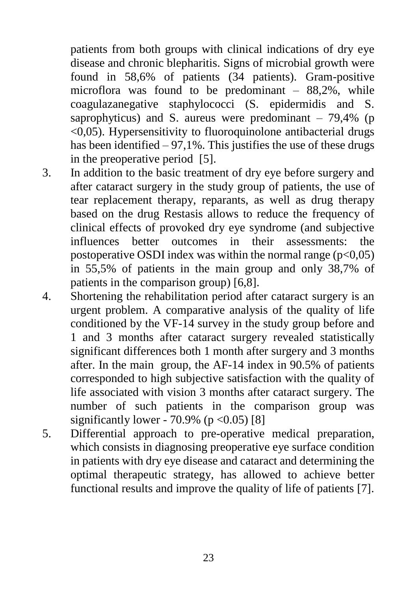patients from both groups with clinical indications of dry eye disease and chronic blepharitis. Signs of microbial growth were found in 58,6% of patients (34 patients). Gram-positive microflora was found to be predominant  $-$  88.2%, while coagulazanegative staphylococci (S. epidermidis and S. saprophyticus) and S. aureus were predominant  $-79,4\%$  (p  $\leq$ 0,05). Hypersensitivity to fluoroquinolone antibacterial drugs has been identified  $-97.1\%$ . This justifies the use of these drugs in the preoperative period [5].

- 3. In addition to the basic treatment of dry eye before surgery and after cataract surgery in the study group of patients, the use of tear replacement therapy, reparants, as well as drug therapy based on the drug Restasis allows to reduce the frequency of clinical effects of provoked dry eye syndrome (and subjective influences better outcomes in their assessments: the postoperative OSDI index was within the normal range  $(p<0.05)$ in 55,5% of patients in the main group and only 38,7% of patients in the comparison group) [6,8].
- 4. Shortening the rehabilitation period after cataract surgery is an urgent problem. A comparative analysis of the quality of life conditioned by the VF-14 survey in the study group before and 1 and 3 months after cataract surgery revealed statistically significant differences both 1 month after surgery and 3 months after. In the main group, the AF-14 index in 90.5% of patients corresponded to high subjective satisfaction with the quality of life associated with vision 3 months after cataract surgery. The number of such patients in the comparison group was significantly lower - 70.9% ( $p \le 0.05$ ) [8]
- 5. Differential approach to pre-operative medical preparation, which consists in diagnosing preoperative eye surface condition in patients with dry eye disease and cataract and determining the optimal therapeutic strategy, has allowed to achieve better functional results and improve the quality of life of patients [7].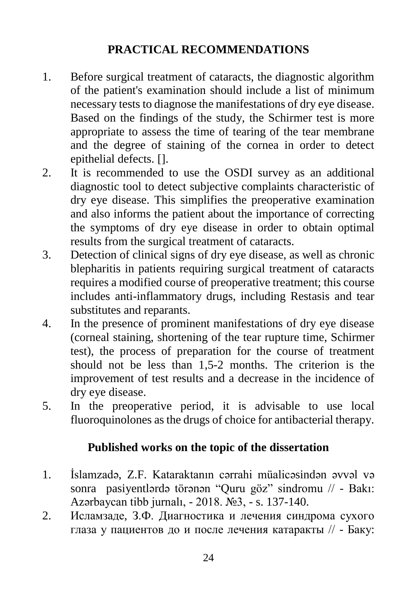## **PRACTICAL RECOMMENDATIONS**

- 1. Before surgical treatment of cataracts, the diagnostic algorithm of the patient's examination should include a list of minimum necessary tests to diagnose the manifestations of dry eye disease. Based on the findings of the study, the Schirmer test is more appropriate to assess the time of tearing of the tear membrane and the degree of staining of the cornea in order to detect epithelial defects. [].
- 2. It is recommended to use the OSDI survey as an additional diagnostic tool to detect subjective complaints characteristic of dry eye disease. This simplifies the preoperative examination and also informs the patient about the importance of correcting the symptoms of dry eye disease in order to obtain optimal results from the surgical treatment of cataracts.
- 3. Detection of clinical signs of dry eye disease, as well as chronic blepharitis in patients requiring surgical treatment of cataracts requires a modified course of preoperative treatment; this course includes anti-inflammatory drugs, including Restasis and tear substitutes and reparants.
- 4. In the presence of prominent manifestations of dry eye disease (corneal staining, shortening of the tear rupture time, Schirmer test), the process of preparation for the course of treatment should not be less than 1,5-2 months. The criterion is the improvement of test results and a decrease in the incidence of dry eye disease.
- 5. In the preoperative period, it is advisable to use local fluoroquinolones as the drugs of choice for antibacterial therapy.

### **Published works on the topic of the dissertation**

- 1. İslamzadə, Z.F. Kataraktanın cərrahi müalicəsindən əvvəl və sonra pasiyentlərdə törənən "Quru göz" sindromu // - Bakı: Azərbaycan tibb jurnalı, - 2018. №3, - s. 137-140.
- 2. Исламзаде, З.Ф. Диагностика и лечения синдрома сухого глаза у пациентов до и после лечения катаракты // - Баку: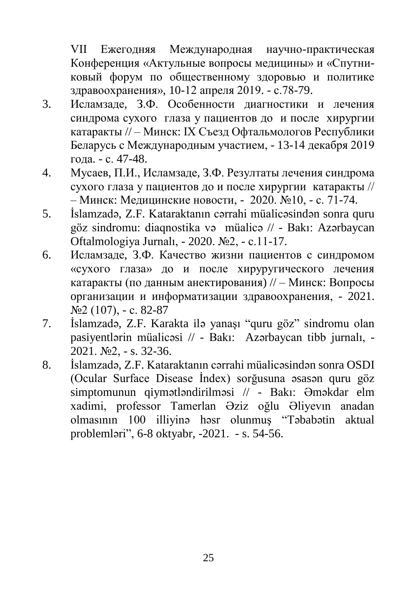VII Ежегодняя Международная научно-практическая Конференция «Актульные вопросы медицины» и «Спутниковый форум по общественному здоровью и политике здравоохранения», 10-12 апреля 2019. - с.78-79.

- 3. Исламзаде, З.Ф. Особенности диагностики и лечения синдрома сухого глаза у пациентов до и после хирургии катаракты // – Минск: IX Съезд Офтальмологов Республики Беларусь с Международным участием, - 13-14 декабря 2019 года. - с. 47-48.
- 4. Мусаев, П.И., Исламзаде, З.Ф. Резултаты лечения синдрома сухого глаза у пациентов до и после хирургии катаракты // – Минск: Медицинские новости, - 2020. №10, - с. 71-74.
- 5. İslamzadə, Z.F. Kataraktanın cərrahi müalicəsindən sonra quru göz sindromu: diaqnostika və müalicə // - Bakı: Azərbaycan Oftalmologiya Jurnalı, - 2020. №2, - с.11-17.
- 6. Исламзаде, З.Ф. Качество жизни пациентов с синдромом «сухого глаза» до и после хируругического лечения катаракты (по данным анектирования) // – Минск: Вопросы oрганизации и информатизации здравоохранения, - 2021. №2 (107), - с. 82-87
- 7. İslamzadə, Z.F. Karakta ilə yanaşı "quru göz" sindromu olan pasiyentlərin müalicəsi // - Bakı: Azərbaycan tibb jurnalı, - 2021. №2, - s. 32-36.
- 8. İslamzadə, Z.F. Kataraktanın cərrahi müalicəsindən sonra OSDI (Ocular Surface Disease İndex) sorğusuna əsasən quru göz simptomunun qiymətləndirilməsi // - Bakı: Əməkdar elm xadimi, professor Tamerlan Əziz oğlu Əliyevın anadan olmasının 100 illiyinə həsr olunmuş "Təbabətin aktual problemləri", 6-8 oktyabr, -2021. - s. 54-56.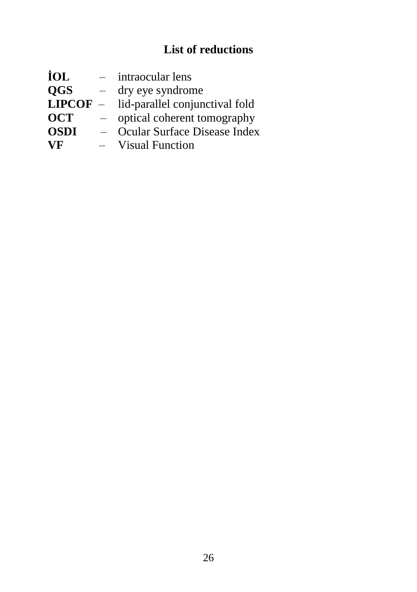# **List of reductions**

| İOL         | intraocular lens               |
|-------------|--------------------------------|
| <b>OGS</b>  | dry eye syndrome               |
| LIPCOF -    | lid-parallel conjunctival fold |
| <b>OCT</b>  | optical coherent tomography    |
| <b>OSDI</b> | Ocular Surface Disease Index   |
| VF          | <b>Visual Function</b>         |
|             |                                |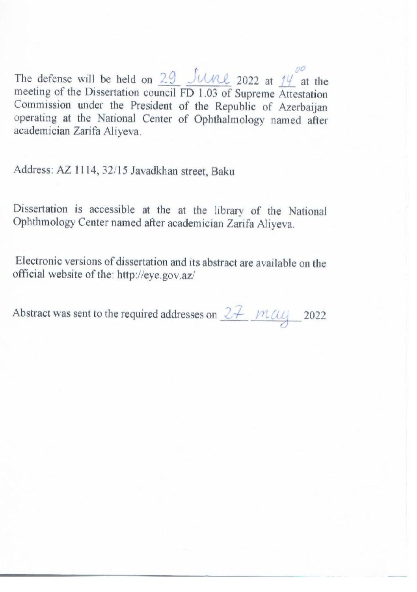The defense will be held on  $29$  JUNE 2022 at 14 at the meeting of the Dissertation council FD 1.03 of Supreme Attestation Commission under the President of the Republic of Azerbaijan operating at the National Center of Ophthalmology named after academician Zarifa Aliyeva.

Address: AZ 1114, 32/15 Javadkhan street, Baku

Dissertation is accessible at the at the library of the National Ophthmology Center named after academician Zarifa Aliyeva.

which versions of dissertation and its abstract are available on the website of the  $\frac{H}{2}$ official website of the:<http://eye.gov.az/>

Abstract was sent to the required addresses on  $27$  may 2022